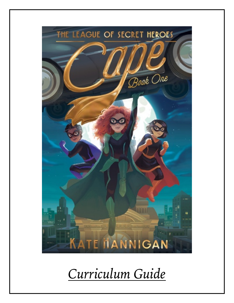

*Curriculum Guide*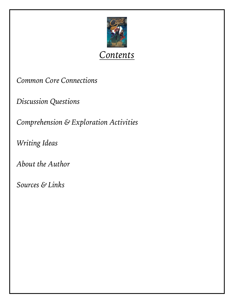

*Contents*

*Common Core Connections*

*Discussion Questions*

*Comprehension & Exploration Activities*

*Writing Ideas*

*About the Author*

*Sources & Links*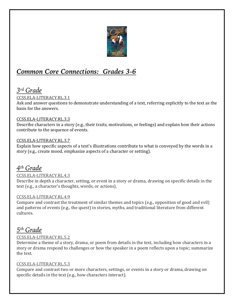

# *Common Core Connections: Grades 3-6*

## *3rd Grade*

#### CCSS.ELA-LITERACY.RL.3.1

Ask and answer questions to demonstrate understanding of a text, referring explicitly to the text as the hasis for the answers.

#### CCSS.ELA-LITERACY.RL.3.3

Describe characters in a story  $(e.g.,$  their traits, motivations, or feelings) and explain how their actions contribute to the sequence of events.

#### CCSS.ELA-LITERACY.RL.3.7

Explain how specific aspects of a text's illustrations contribute to what is conveyed by the words in a story (e.g., create mood, emphasize aspects of a character or setting).

## *4th Grade*

#### CCSS.ELA-LITERACY.RL.4.3

Describe in depth a character, setting, or event in a story or drama, drawing on specific details in the text (e.g., a character's thoughts, words, or actions).

#### CCSS.ELA-LITERACY.RL.4.9

Compare and contrast the treatment of similar themes and topics (e.g., opposition of good and evil) and patterns of events (e.g., the quest) in stories, myths, and traditional literature from different cultures.

## *5th Grade*

#### CCSS.ELA-LITERACY.RL.5.2

Determine a theme of a story, drama, or poem from details in the text, including how characters in a story or drama respond to challenges or how the speaker in a poem reflects upon a topic; summarize the text.

#### CCSS.ELA-LITERACY.RL.5.3

Compare and contrast two or more characters, settings, or events in a story or drama, drawing on specific details in the text  $(e.g., how characters interact)$ .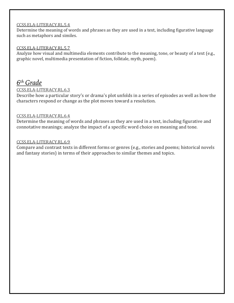#### CCSS.ELA-LITERACY.RL.5.4

Determine the meaning of words and phrases as they are used in a text, including figurative language such as metaphors and similes.

#### CCSS.ELA-LITERACY.RL.5.7

Analyze how visual and multimedia elements contribute to the meaning, tone, or beauty of a text (e.g., graphic novel, multimedia presentation of fiction, folktale, myth, poem).

### *6th Grade*

#### CCSS.ELA-LITERACY.RL.6.3

Describe how a particular story's or drama's plot unfolds in a series of episodes as well as how the characters respond or change as the plot moves toward a resolution.

#### CCSS.ELA-LITERACY.RL.6.4

Determine the meaning of words and phrases as they are used in a text, including figurative and connotative meanings; analyze the impact of a specific word choice on meaning and tone.

#### CCSS.ELA-LITERACY.RL.6.9

Compare and contrast texts in different forms or genres (e.g., stories and poems; historical novels and fantasy stories) in terms of their approaches to similar themes and topics.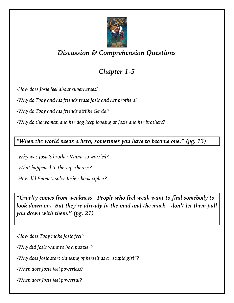

# *Discussion & Comprehension Questions*

# *Chapter 1-5*

*-How does Josie feel about superheroes?*

*-Why do Toby and his friends tease Josie and her brothers?*

*-Why do Toby and his friends dislike Gerda?* 

*-Why do the woman and her dog keep looking at Josie and her brothers?*

*"When the world needs a hero, sometimes you have to become one." (pg. 13)*

*-Why was Josie's brother Vinnie so worried?* 

*-What happened to the superheroes?*

*-How did Emmett solve Josie's book cipher?*

*"Cruelty comes from weakness. People who feel weak want to find somebody to look down on.* But they're already in the mud and the muck—don't let them pull *you down with them." (pg. 21)*

*-How does Toby make Josie feel?* 

*-Why did Josie want to be a puzzler?*

*-Why does Josie start thinking of herself as a "stupid girl"?*

*-When does Josie feel powerless?* 

*-When does Josie feel powerful?*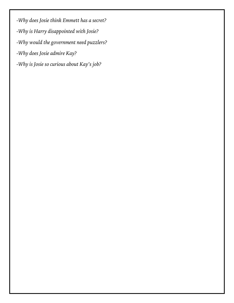*-Why does Josie think Emmett has a secret?*

- *-Why is Harry disappointed with Josie?*
- *-Why would the government need puzzlers?*
- *-Why does Josie admire Kay?*
- *-Why is Josie so curious about Kay's job?*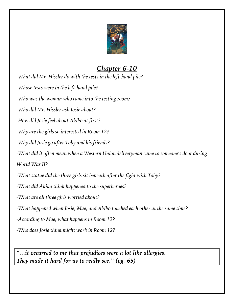

# *Chapter 6-10*

*-What did Mr. Hissler do with the tests in the left-hand pile?*

*-Whose tests were in the left-hand pile?*

*-Who was the woman who came into the testing room?*

*-Who did Mr. Hissler ask Josie about?* 

*-How did Josie feel about Akiko at first?*

*-Why are the girls so interested in Room 12?*

*-Why did Josie go after Toby and his friends?*

*-What did it often mean when a Western Union deliveryman came to someone's door during* 

*World War II?* 

*-What statue did the three girls sit beneath after the fight with Toby?*

*-What did Akiko think happened to the superheroes?*

*-What are all three girls worried about?*

*-What happened when Josie, Mae, and Akiko touched each other at the same time?*

*-According to Mae, what happens in Room 12?*

*-Who does Josie think might work in Room 12?*

*"…it occurred to me that prejudices were a lot like allergies. They made it hard for us to really see." (pg. 65)*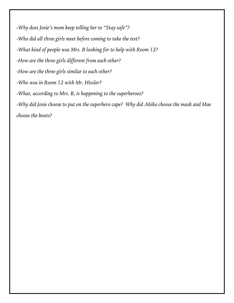*-Why does Josie's mom keep telling her to "Stay safe"? -Who did all three girls meet before coming to take the test? -What kind of people was Mrs. B looking for to help with Room 12? -How are the three girls different from each other? -How are the three girls similar to each other? -Who was in Room 12 with Mr. Hissler? -What, according to Mrs. B, is happening to the superheroes? -Why did Josie choose to put on the superhero cape? Why did Akiko choose the mask and Mae choose the boots?*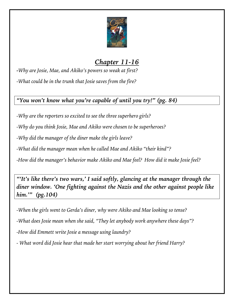

# *Chapter 11-16*

*-Why are Josie, Mae, and Akiko's powers so weak at first? -What could be in the trunk that Josie saves from the fire?*

### *"You won't know what you're capable of until you try!" (pg. 84)*

*-Why are the reporters so excited to see the three superhero girls?*

*-Why do you think Josie, Mae and Akiko were chosen to be superheroes?*

*-Why did the manager of the diner make the girls leave?*

*-What did the manager mean when he called Mae and Akiko "their kind"?*

*-How did the manager's behavior make Akiko and Mae feel? How did it make Josie feel?*

*"'It's like there's two wars,' I said softly, glancing at the manager through the diner window. 'One fighting against the Nazis and the other against people like him.'" (pg.104)*

*-When the girls went to Gerda's diner, why were Akiko and Mae looking so tense?*

*-What does Josie mean when she said, "They let anybody work anywhere these days"?*

*-How did Emmett write Josie a message using laundry?*

*- What word did Josie hear that made her start worrying about her friend Harry?*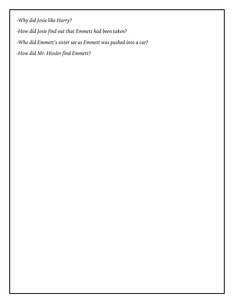*-Why did Josie like Harry?*

*-How did Josie find out that Emmett had been taken?*

*-Who did Emmett's sister see as Emmett was pushed into a car?*

*-How did Mr. Hissler find Emmett?*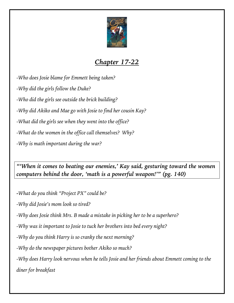

# *Chapter 17-22*

*-Who does Josie blame for Emmett being taken? -Why did the girls follow the Duke? -Who did the girls see outside the brick building? -Why did Akiko and Mae go with Josie to find her cousin Kay? -What did the girls see when they went into the office? -What do the women in the office call themselves? Why? -Why is math important during the war?*

*"'When it comes to beating our enemies,' Kay said, gesturing toward the women computers behind the door, 'math is a powerful weapon!'" (pg. 140)*

*-What do you think "Project PX" could be?*

*-Why did Josie's mom look so tired?*

*-Why does Josie think Mrs. B made a mistake in picking her to be a superhero?*

*-Why was it important to Josie to tuck her brothers into bed every night?*

*-Why do you think Harry is so cranky the next morning?*

*-Why do the newspaper pictures bother Akiko so much?* 

*-Why does Harry look nervous when he tells Josie and her friends about Emmett coming to the diner for breakfast*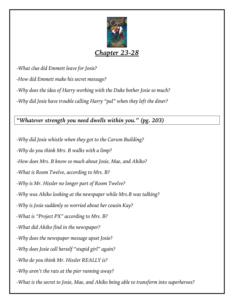

## *Chapter 23-28*

*-What clue did Emmett leave for Josie?*

*-How did Emmett make his secret message?*

*-Why does the idea of Harry working with the Duke bother Josie so much?* 

*-Why did Josie have trouble calling Harry "pal" when they left the diner?*

*"Whatever strength you need dwells within you." (pg. 203)*

*-Why did Josie whistle when they got to the Carson Building?*

*-Why do you think Mrs. B walks with a limp?*

*-How does Mrs. B know so much about Josie, Mae, and Akiko?*

*-What is Room Twelve, according to Mrs. B?*

*-Why is Mr. Hissler no longer part of Room Twelve?*

*-Why was Akiko looking at the newspaper while Mrs.B was talking?*

*-Why is Josie suddenly so worried about her cousin Kay?*

*-What is "Project PX" according to Mrs. B?*

*-What did Akiko find in the newspaper?*

*-Why does the newspaper message upset Josie?*

*-Why does Josie call herself "stupid girl" again?*

*-Who do you think Mr. Hissler REALLY is?*

*-Why aren't the rats at the pier running away?*

*-What is the secret to Josie, Mae, and Akiko being able to transform into superheroes?*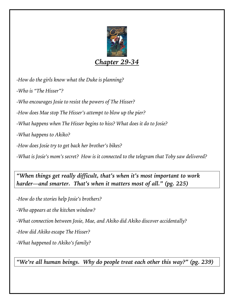

## *Chapter 29-34*

*-How do the girls know what the Duke is planning?*

*-Who is "The Hisser"?*

*-Who encourages Josie to resist the powers of The Hisser?*

*-How does Mae stop The Hisser's attempt to blow up the pier?*

*-What happens when The Hisser begins to hiss? What does it do to Josie?*

*-What happens to Akiko?*

*-How does Josie try to get back her brother's bikes?*

*-What is Josie's mom's secret? How is it connected to the telegram that Toby saw delivered?*

*"When things get really difficult, that's when it's most important to work harder—and smarter. That's when it matters most of all." (pg. 225)*

*-How do the stories help Josie's brothers?* 

*-Who appears at the kitchen window?*

*-What connection between Josie, Mae, and Akiko did Akiko discover accidentally?*

*-How did Akiko escape The Hisser?*

*-What happened to Akiko's family?*

*"We're all human beings. Why do people treat each other this way?" (pg. 239)*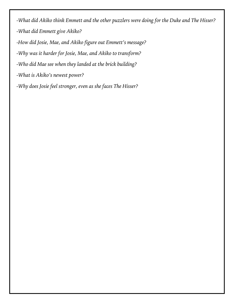*-What did Akiko think Emmett and the other puzzlers were doing for the Duke and The Hisser? -What did Emmett give Akiko?*

*-How did Josie, Mae, and Akiko figure out Emmett's message?*

*-Why was it harder for Josie, Mae, and Akiko to transform?*

*-Who did Mae see when they landed at the brick building?*

*-What is Akiko's newest power?* 

*-Why does Josie feel stronger, even as she faces The Hisser?*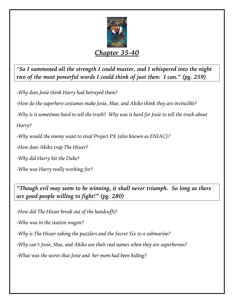

*"So I summoned all the strength I could muster, and I whispered into the night two of the most powerful words I could think of just then: I can." (pg. 259)*

*-Why does Josie think Harry had betrayed them?*

*-How do the superhero costumes make Josie, Mae, and Akiko think they are invincible?*

*-Why is it sometimes hard to tell the truth? Why was it hard for Josie to tell the truth about* 

*Harry?*

*-Why would the enemy want to steal Project PX (also known as ENIAC)?*

*-How does Akiko trap The Hisser?*

*-Why did Harry hit the Duke?*

*-Who was Harry really working for?* 

*"Though evil may seem to be winning, it shall never triumph. So long as there are good people willing to fight!" (pg. 280)*

*-How did The Hisser break out of the handcuffs?*

*-Who was in the station wagon?*

*-Why is The Hisser taking the puzzlers and the Secret Six to a submarine?*

*-Why can't Josie, Mae, and Akiko use their real names when they are superheroes?*

*-What was the secret that Josie and her mom had been hiding?*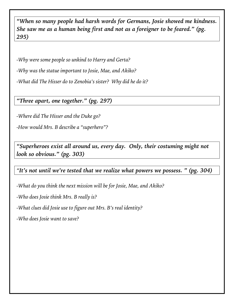*"When so many people had harsh words for Germans, Josie showed me kindness. She saw me as a human being first and not as a foreigner to be feared." (pg. 295)*

*-Why were some people so unkind to Harry and Gerta?*

*-Why was the statue important to Josie, Mae, and Akiko?*

*-What did The Hisser do to Zenobia's sister? Why did he do it?*

*"Three apart, one together." (pg. 297)*

*-Where did The Hisser and the Duke go?*

*-How would Mrs. B describe a "superhero"?* 

*"Superheroes exist all around us, every day. Only, their costuming might not look so obvious." (pg. 303)*

### *"It's not until we're tested that we realize what powers we possess. " (pg. 304)*

*-What do you think the next mission will be for Josie, Mae, and Akiko?*

*-Who does Josie think Mrs. B really is?* 

*-What clues did Josie use to figure out Mrs. B's real identity?*

*-Who does Josie want to save?*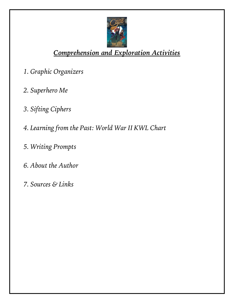

# *Comprehension and Exploration Activities*

- *1. Graphic Organizers*
- *2. Superhero Me*
- *3. Sifting Ciphers*
- *4. Learning from the Past: World War II KWL Chart*
- *5. Writing Prompts*
- *6. About the Author*
- *7. Sources & Links*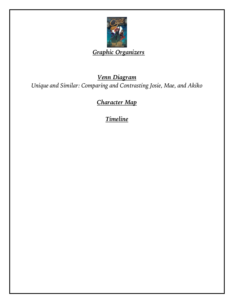

## *Graphic Organizers*

## *Venn Diagram Unique and Similar: Comparing and Contrasting Josie, Mae, and Akiko*

*Character Map*

*Timeline*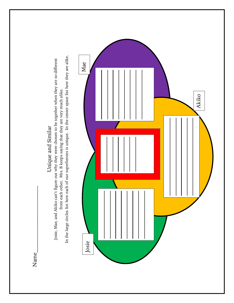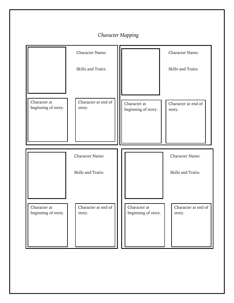#### *Character Mapping*

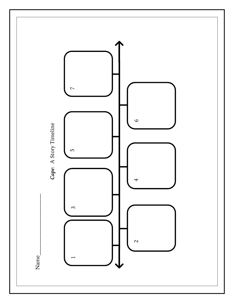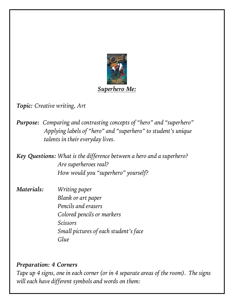

*Topic: Creative writing, Art*

*Purpose: Comparing and contrasting concepts of "hero" and "superhero" Applying labels of "hero" and "superhero" to student's unique talents in their everyday lives.* 

*Key Questions: What is the difference between a hero and a superhero? Are superheroes real? How would you "superhero" yourself?*

*Materials: Writing paper Blank or art paper Pencils and erasers Colored pencils or markers Scissors Small pictures of each student's face Glue*

#### *Preparation: 4 Corners*

*Tape up 4 signs, one in each corner (or in 4 separate areas of the room). The signs will each have different symbols and words on them:*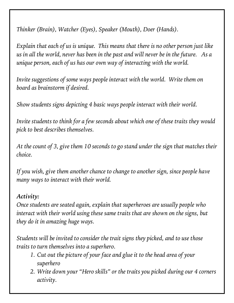*Thinker (Brain), Watcher (Eyes), Speaker (Mouth), Doer (Hands).* 

*Explain that each of us is unique. This means that there is no other person just like us in all the world, never has been in the past and will never be in the future. As a unique person, each of us has our own way of interacting with the world.* 

*Invite suggestions of some ways people interact with the world. Write them on board as brainstorm if desired.*

*Show students signs depicting 4 basic ways people interact with their world.*

*Invite students to think for a few seconds about which one of these traits they would pick to best describes themselves.* 

*At the count of 3, give them 10 seconds to go stand under the sign that matches their choice.*

*If you wish, give them another chance to change to another sign, since people have many ways to interact with their world.*

## *Activity:*

*Once students are seated again, explain that superheroes are usually people who interact with their world using these same traits that are shown on the signs, but they do it in amazing huge ways.* 

*Students will be invited to consider the trait signs they picked, and to use those traits to turn themselves into a superhero.* 

- *1. Cut out the picture of your face and glue it to the head area of your superhero*
- *2. Write down your "Hero skills" or the traits you picked during our 4 corners activity.*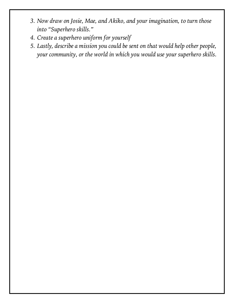- *3. Now draw on Josie, Mae, and Akiko, and your imagination, to turn those into "Superhero skills."*
- *4. Create a superhero uniform for yourself*
- *5. Lastly, describe a mission you could be sent on that would help other people, your community, or the world in which you would use your superhero skills.*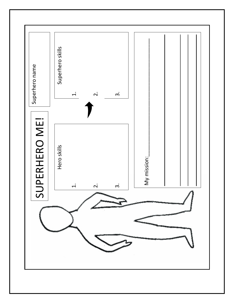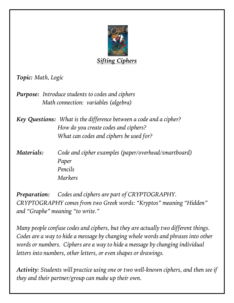

*Topic: Math, Logic*

*Purpose: Introduce students to codes and ciphers Math connection: variables (algebra)*

*Key Questions: What is the difference between a code and a cipher? How do you create codes and ciphers? What can codes and ciphers be used for?* 

*Materials: Code and cipher examples (paper/overhead/smartboard) Paper Pencils Markers*

*Preparation: Codes and ciphers are part of CRYPTOGRAPHY. CRYPTOGRAPHY comes from two Greek words: "Kryptos" meaning "Hidden" and "Graphe" meaning "to write."* 

*Many people confuse codes and ciphers, but they are actually two different things. Codes are a way to hide a message by changing whole words and phrases into other words or numbers. Ciphers are a way to hide a message by changing individual letters into numbers, other letters, or even shapes or drawings.* 

*Activity: Students will practice using one or two well-known ciphers, and then see if they and their partner/group can make up their own.*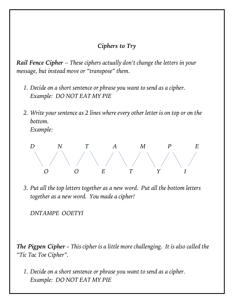## *Ciphers to Try*

*Rail Fence Cipher* – *These ciphers actually don't change the letters in your message, but instead move or "transpose" them.* 

- *1. Decide on a short sentence or phrase you want to send as a cipher. Example: DO NOT EAT MY PIE*
- *2. Write your sentence as 2 lines where every other letter is on top or on the bottom.*

*Example:* 



*3. Put all the top letters together as a new word. Put all the bottom letters together as a new word. You made a cipher!* 

*DNTAMPE OOETYI*

*The Pigpen Cipher - This cipher is a little more challenging. It is also called the "Tic Tac Toe Cipher".* 

*1. Decide on a short sentence or phrase you want to send as a cipher. Example: DO NOT EAT MY PIE*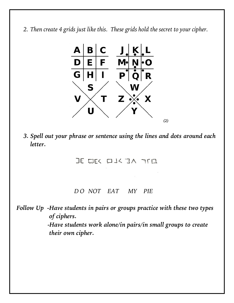*2. Then create 4 grids just like this. These grids hold the secret to your cipher.*



*3. Spell out your phrase or sentence using the lines and dots around each letter.*

JE WEK WIK JA TITU

 *D O NOT EAT MY PIE*

*Follow Up -Have students in pairs or groups practice with these two types of ciphers. -Have students work alone/in pairs/in small groups to create their own cipher.*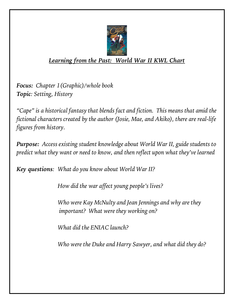

## *Learning from the Past: World War II KWL Chart*

*Focus: Chapter 1(Graphic)/whole book Topic: Setting, History*

*"Cape" is a historical fantasy that blends fact and fiction. This means that amid the fictional characters created by the author (Josie, Mae, and Akiko), there are real-life figures from history.*

*Purpose: Access existing student knowledge about World War II, guide students to predict what they want or need to know, and then reflect upon what they've learned*

*Key questions: What do you know about World War II?* 

*How did the war affect young people's lives?*

*Who were Kay McNulty and Jean Jennings and why are they important? What were they working on?* 

*What did the ENIAC launch?*

*Who were the Duke and Harry Sawyer, and what did they do?*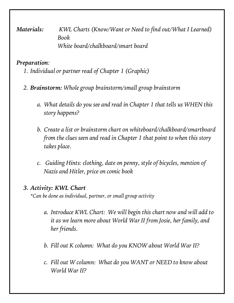*Materials: KWL Charts (Know/Want or Need to find out/What I Learned) Book White board/chalkboard/smart board*

#### *Preparation:*

- *1. Individual or partner read of Chapter 1 (Graphic)*
- *2. Brainstorm: Whole group brainstorm/small group brainstorm*
	- *a. What details do you see and read in Chapter 1 that tells us WHEN this story happens?*
	- *b. Create a list or brainstorm chart on whiteboard/chalkboard/smartboard from the clues seen and read in Chapter 1 that point to when this story takes place.*
	- *c. Guiding Hints: clothing, date on penny, style of bicycles, mention of Nazis and Hitler, price on comic book*

#### *3. Activity: KWL Chart*

*\*Can be done as individual, partner, or small group activity*

- *a. Introduce KWL Chart: We will begin this chart now and will add to it as we learn more about World War II from Josie, her family, and her friends.*
- *b. Fill out K column: What do you KNOW about World War II?*
- *c. Fill out W column: What do you WANT or NEED to know about World War II?*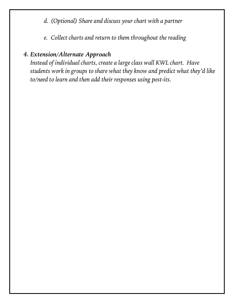- *d. (Optional) Share and discuss your chart with a partner*
- *e. Collect charts and return to them throughout the reading*

## *4. Extension/Alternate Approach*

*Instead of individual charts, create a large class wall KWL chart. Have students work in groups to share what they know and predict what they'd like to/need to learn and then add their responses using post-its.*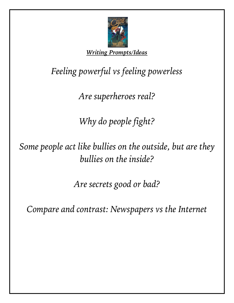

*Writing Prompts/Ideas*

*Feeling powerful vs feeling powerless*

*Are superheroes real?*

*Why do people fight?*

*Some people act like bullies on the outside, but are they bullies on the inside?* 

*Are secrets good or bad?*

*Compare and contrast: Newspapers vs the Internet*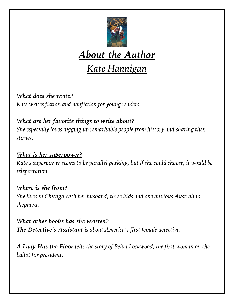

# *About the Author*

# *Kate Hannigan*

*What does she write? Kate writes fiction and nonfiction for young readers.*

*What are her favorite things to write about? She especially loves digging up remarkable people from history and sharing their stories.*

## *What is her superpower?*

*Kate's superpower seems to be parallel parking, but if she could choose, it would be teleportation.*

## *Where is she from?*

*She lives in Chicago with her husband, three kids and one anxious Australian shepherd.*

*What other books has she written? The Detective's Assistant is about America's first female detective.*

*A Lady Has the Floor tells the story of Belva Lockwood, the first woman on the ballot for president.*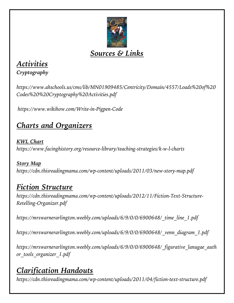

# *Sources & Links*

# *Activities*

*Cryptography*

*https://www.ahschools.us/cms/lib/MN01909485/Centricity/Domain/4557/Loads%20of%20 Codes%20%20Cryptography%20Activities.pdf*

*https://www.wikihow.com/Write-in-Pigpen-Code*

# *Charts and Organizers*

*KWL Chart https://www.facinghistory.org/resource-library/teaching-strategies/k-w-l-charts*

*Story Map https://cdn.thisreadingmama.com/wp-content/uploads/2011/03/new-story-map.pdf*

# *Fiction Structure*

*https://cdn.thisreadingmama.com/wp-content/uploads/2012/11/Fiction-Text-Structure-Retelling-Organizer.pdf*

*https://mrswarnerarlington.weebly.com/uploads/6/9/0/0/6900648/\_time\_line\_1.pdf*

*https://mrswarnerarlington.weebly.com/uploads/6/9/0/0/6900648/\_venn\_diagram\_1.pdf*

*https://mrswarnerarlington.weebly.com/uploads/6/9/0/0/6900648/\_figurative\_lanugae\_auth or\_tools\_organizer\_1.pdf*

# *Clarification Handouts*

*https://cdn.thisreadingmama.com/wp-content/uploads/2011/04/fiction-text-structure.pdf*